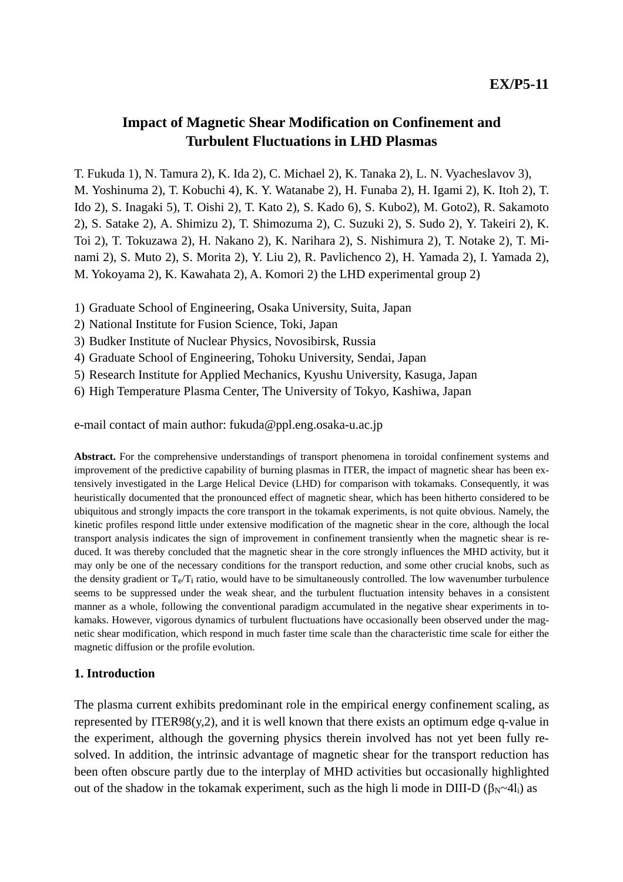# **Impact of Magnetic Shear Modification on Confinement and Turbulent Fluctuations in LHD Plasmas**

T. Fukuda 1), N. Tamura 2), K. Ida 2), C. Michael 2), K. Tanaka 2), L. N. Vyacheslavov 3), M. Yoshinuma 2), T. Kobuchi 4), K. Y. Watanabe 2), H. Funaba 2), H. Igami 2), K. Itoh 2), T. Ido 2), S. Inagaki 5), T. Oishi 2), T. Kato 2), S. Kado 6), S. Kubo2), M. Goto2), R. Sakamoto 2), S. Satake 2), A. Shimizu 2), T. Shimozuma 2), C. Suzuki 2), S. Sudo 2), Y. Takeiri 2), K. Toi 2), T. Tokuzawa 2), H. Nakano 2), K. Narihara 2), S. Nishimura 2), T. Notake 2), T. Minami 2), S. Muto 2), S. Morita 2), Y. Liu 2), R. Pavlichenco 2), H. Yamada 2), I. Yamada 2), M. Yokoyama 2), K. Kawahata 2), A. Komori 2) the LHD experimental group 2)

- 1) Graduate School of Engineering, Osaka University, Suita, Japan
- 2) National Institute for Fusion Science, Toki, Japan
- 3) Budker Institute of Nuclear Physics, Novosibirsk, Russia
- 4) Graduate School of Engineering, Tohoku University, Sendai, Japan
- 5) Research Institute for Applied Mechanics, Kyushu University, Kasuga, Japan
- 6) High Temperature Plasma Center, The University of Tokyo, Kashiwa, Japan

e-mail contact of main author: fukuda@ppl.eng.osaka-u.ac.jp

**Abstract.** For the comprehensive understandings of transport phenomena in toroidal confinement systems and improvement of the predictive capability of burning plasmas in ITER, the impact of magnetic shear has been extensively investigated in the Large Helical Device (LHD) for comparison with tokamaks. Consequently, it was heuristically documented that the pronounced effect of magnetic shear, which has been hitherto considered to be ubiquitous and strongly impacts the core transport in the tokamak experiments, is not quite obvious. Namely, the kinetic profiles respond little under extensive modification of the magnetic shear in the core, although the local transport analysis indicates the sign of improvement in confinement transiently when the magnetic shear is reduced. It was thereby concluded that the magnetic shear in the core strongly influences the MHD activity, but it may only be one of the necessary conditions for the transport reduction, and some other crucial knobs, such as the density gradient or  $T_e/T_i$  ratio, would have to be simultaneously controlled. The low wavenumber turbulence seems to be suppressed under the weak shear, and the turbulent fluctuation intensity behaves in a consistent manner as a whole, following the conventional paradigm accumulated in the negative shear experiments in tokamaks. However, vigorous dynamics of turbulent fluctuations have occasionally been observed under the magnetic shear modification, which respond in much faster time scale than the characteristic time scale for either the magnetic diffusion or the profile evolution.

#### **1. Introduction**

The plasma current exhibits predominant role in the empirical energy confinement scaling, as represented by ITER98(y,2), and it is well known that there exists an optimum edge q-value in the experiment, although the governing physics therein involved has not yet been fully resolved. In addition, the intrinsic advantage of magnetic shear for the transport reduction has been often obscure partly due to the interplay of MHD activities but occasionally highlighted out of the shadow in the tokamak experiment, such as the high li mode in DIII-D (β<sub>N</sub>~4l<sub>i</sub>) as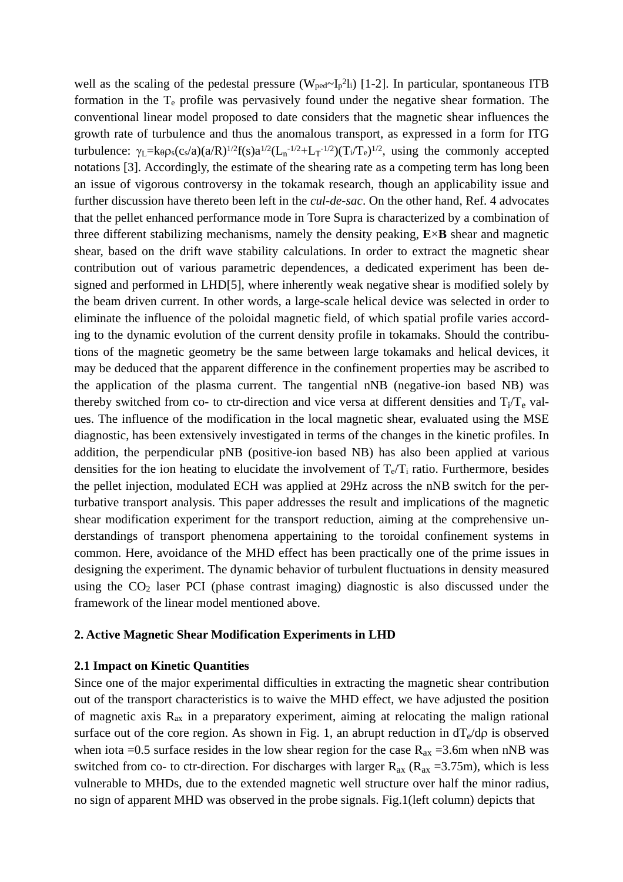well as the scaling of the pedestal pressure  $(W_{\text{ped}} \sim I_p^2 I_i)$  [1-2]. In particular, spontaneous ITB formation in the  $T_e$  profile was pervasively found under the negative shear formation. The conventional linear model proposed to date considers that the magnetic shear influences the growth rate of turbulence and thus the anomalous transport, as expressed in a form for ITG turbulence:  $\gamma_L = k_\theta \rho_s (c_s/a) (a/R)^{1/2} f(s) a^{1/2} (L_n^{-1/2} + L_T^{-1/2}) (T_i/T_e)^{1/2}$ , using the commonly accepted notations [3]. Accordingly, the estimate of the shearing rate as a competing term has long been an issue of vigorous controversy in the tokamak research, though an applicability issue and further discussion have thereto been left in the *cul-de-sac*. On the other hand, Ref. 4 advocates that the pellet enhanced performance mode in Tore Supra is characterized by a combination of three different stabilizing mechanisms, namely the density peaking, **E**×**B** shear and magnetic shear, based on the drift wave stability calculations. In order to extract the magnetic shear contribution out of various parametric dependences, a dedicated experiment has been designed and performed in LHD[5], where inherently weak negative shear is modified solely by the beam driven current. In other words, a large-scale helical device was selected in order to eliminate the influence of the poloidal magnetic field, of which spatial profile varies according to the dynamic evolution of the current density profile in tokamaks. Should the contributions of the magnetic geometry be the same between large tokamaks and helical devices, it may be deduced that the apparent difference in the confinement properties may be ascribed to the application of the plasma current. The tangential nNB (negative-ion based NB) was thereby switched from co- to ctr-direction and vice versa at different densities and  $T_i/T_e$  values. The influence of the modification in the local magnetic shear, evaluated using the MSE diagnostic, has been extensively investigated in terms of the changes in the kinetic profiles. In addition, the perpendicular pNB (positive-ion based NB) has also been applied at various densities for the ion heating to elucidate the involvement of  $T_e/T_i$  ratio. Furthermore, besides the pellet injection, modulated ECH was applied at 29Hz across the nNB switch for the perturbative transport analysis. This paper addresses the result and implications of the magnetic shear modification experiment for the transport reduction, aiming at the comprehensive understandings of transport phenomena appertaining to the toroidal confinement systems in common. Here, avoidance of the MHD effect has been practically one of the prime issues in designing the experiment. The dynamic behavior of turbulent fluctuations in density measured using the CO2 laser PCI (phase contrast imaging) diagnostic is also discussed under the framework of the linear model mentioned above.

# **2. Active Magnetic Shear Modification Experiments in LHD**

#### **2.1 Impact on Kinetic Quantities**

Since one of the major experimental difficulties in extracting the magnetic shear contribution out of the transport characteristics is to waive the MHD effect, we have adjusted the position of magnetic axis  $R_{ax}$  in a preparatory experiment, aiming at relocating the malign rational surface out of the core region. As shown in Fig. 1, an abrupt reduction in  $dT_e/d\rho$  is observed when iota =0.5 surface resides in the low shear region for the case  $R_{ax} = 3.6$ m when nNB was switched from co- to ctr-direction. For discharges with larger  $R_{ax}$  ( $R_{ax}$  =3.75m), which is less vulnerable to MHDs, due to the extended magnetic well structure over half the minor radius, no sign of apparent MHD was observed in the probe signals. Fig.1(left column) depicts that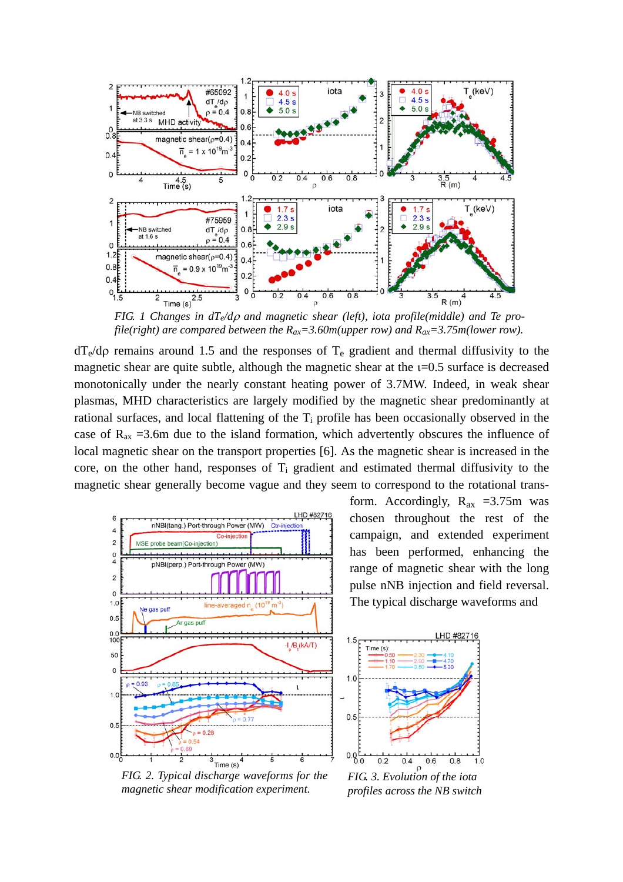

*FIG. 1 Changes in dTe/d*ρ *and magnetic shear (left), iota profile(middle) and Te profile(right) are compared between the*  $R_{ax} = 3.60$ *m(upper row) and*  $R_{ax} = 3.75$ *m(lower row).* 

 $dT_e/d\rho$  remains around 1.5 and the responses of  $T_e$  gradient and thermal diffusivity to the magnetic shear are quite subtle, although the magnetic shear at the  $i=0.5$  surface is decreased monotonically under the nearly constant heating power of 3.7MW. Indeed, in weak shear plasmas, MHD characteristics are largely modified by the magnetic shear predominantly at rational surfaces, and local flattening of the  $T_i$  profile has been occasionally observed in the case of  $R_{ax}$  =3.6m due to the island formation, which advertently obscures the influence of local magnetic shear on the transport properties [6]. As the magnetic shear is increased in the core, on the other hand, responses of  $T_i$  gradient and estimated thermal diffusivity to the magnetic shear generally become vague and they seem to correspond to the rotational trans-



form. Accordingly,  $R_{ax} = 3.75$ m was chosen throughout the rest of the campaign, and extended experiment has been performed, enhancing the range of magnetic shear with the long pulse nNB injection and field reversal. The typical discharge waveforms and

HD #82



 $0.4$ 

 $0.6$ 

 $0.8$ 

 $1.0$ 

 $0.2$ 

*FIG. 2. Typical discharge waveforms for the magnetic shear modification experiment.*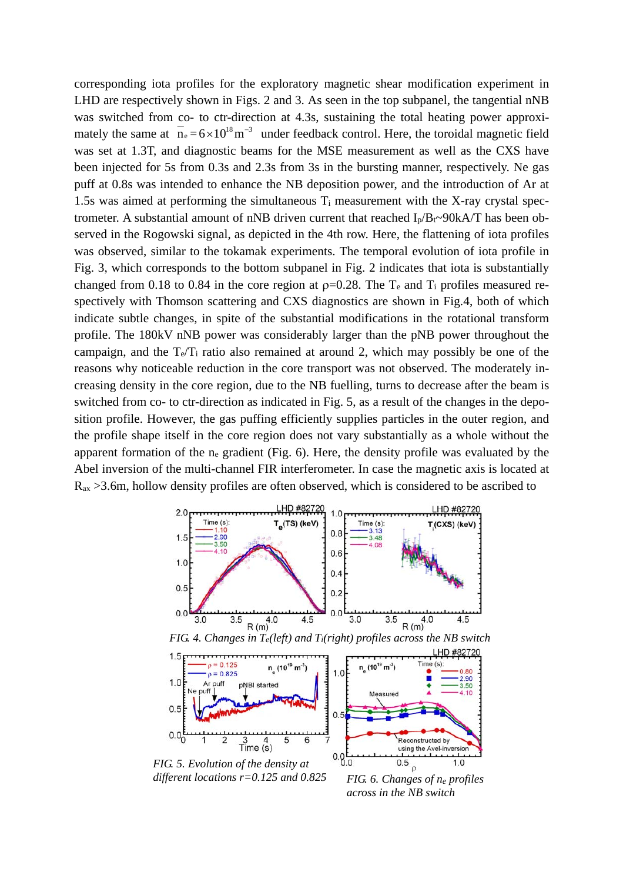corresponding iota profiles for the exploratory magnetic shear modification experiment in LHD are respectively shown in Figs. 2 and 3. As seen in the top subpanel, the tangential nNB was switched from co- to ctr-direction at 4.3s, sustaining the total heating power approximately the same at  $n_e = 6 \times 10^{18} \text{ m}^{-3}$  under feedback control. Here, the toroidal magnetic field was set at 1.3T, and diagnostic beams for the MSE measurement as well as the CXS have been injected for 5s from 0.3s and 2.3s from 3s in the bursting manner, respectively. Ne gas puff at 0.8s was intended to enhance the NB deposition power, and the introduction of Ar at 1.5s was aimed at performing the simultaneous  $T_i$  measurement with the X-ray crystal spectrometer. A substantial amount of nNB driven current that reached  $I_p/B_f \sim 90kA/T$  has been observed in the Rogowski signal, as depicted in the 4th row. Here, the flattening of iota profiles was observed, similar to the tokamak experiments. The temporal evolution of iota profile in Fig. 3, which corresponds to the bottom subpanel in Fig. 2 indicates that iota is substantially changed from 0.18 to 0.84 in the core region at  $p=0.28$ . The T<sub>e</sub> and T<sub>i</sub> profiles measured respectively with Thomson scattering and CXS diagnostics are shown in Fig.4, both of which indicate subtle changes, in spite of the substantial modifications in the rotational transform profile. The 180kV nNB power was considerably larger than the pNB power throughout the campaign, and the  $T_e/T_i$  ratio also remained at around 2, which may possibly be one of the reasons why noticeable reduction in the core transport was not observed. The moderately increasing density in the core region, due to the NB fuelling, turns to decrease after the beam is switched from co- to ctr-direction as indicated in Fig. 5, as a result of the changes in the deposition profile. However, the gas puffing efficiently supplies particles in the outer region, and the profile shape itself in the core region does not vary substantially as a whole without the apparent formation of the  $n_e$  gradient (Fig. 6). Here, the density profile was evaluated by the Abel inversion of the multi-channel FIR interferometer. In case the magnetic axis is located at Rax >3.6m, hollow density profiles are often observed, which is considered to be ascribed to



 $\mathfrak{o}$ *different locations r=0.125 and 0.825FIG. 6. Changes of ne profiles across in the NB switch*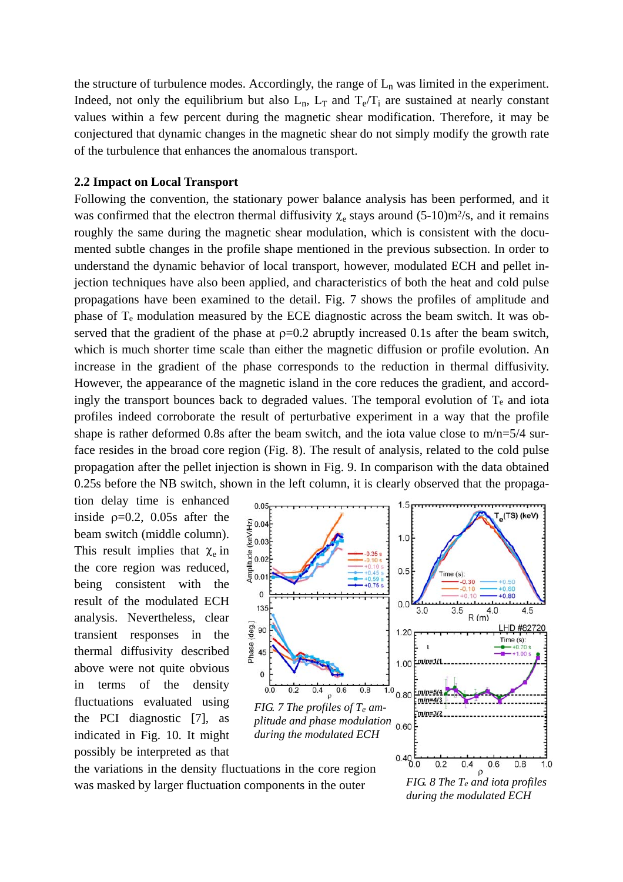the structure of turbulence modes. Accordingly, the range of  $L_n$  was limited in the experiment. Indeed, not only the equilibrium but also  $L_n$ ,  $L_T$  and  $T_e/T_i$  are sustained at nearly constant values within a few percent during the magnetic shear modification. Therefore, it may be conjectured that dynamic changes in the magnetic shear do not simply modify the growth rate of the turbulence that enhances the anomalous transport.

# **2.2 Impact on Local Transport**

Following the convention, the stationary power balance analysis has been performed, and it was confirmed that the electron thermal diffusivity  $\chi_e$  stays around (5-10)m<sup>2</sup>/s, and it remains roughly the same during the magnetic shear modulation, which is consistent with the documented subtle changes in the profile shape mentioned in the previous subsection. In order to understand the dynamic behavior of local transport, however, modulated ECH and pellet injection techniques have also been applied, and characteristics of both the heat and cold pulse propagations have been examined to the detail. Fig. 7 shows the profiles of amplitude and phase of  $T_e$  modulation measured by the ECE diagnostic across the beam switch. It was observed that the gradient of the phase at  $p=0.2$  abruptly increased 0.1s after the beam switch, which is much shorter time scale than either the magnetic diffusion or profile evolution. An increase in the gradient of the phase corresponds to the reduction in thermal diffusivity. However, the appearance of the magnetic island in the core reduces the gradient, and accordingly the transport bounces back to degraded values. The temporal evolution of  $T_e$  and iota profiles indeed corroborate the result of perturbative experiment in a way that the profile shape is rather deformed 0.8s after the beam switch, and the iota value close to m/n=5/4 surface resides in the broad core region (Fig. 8). The result of analysis, related to the cold pulse propagation after the pellet injection is shown in Fig. 9. In comparison with the data obtained 0.25s before the NB switch, shown in the left column, it is clearly observed that the propaga-

tion delay time is enhanced inside  $p=0.2$ , 0.05s after the beam switch (middle column). This result implies that  $\chi_e$  in the core region was reduced, being consistent with the result of the modulated ECH analysis. Nevertheless, clear transient responses in the thermal diffusivity described above were not quite obvious in terms of the density fluctuations evaluated using the PCI diagnostic [7], as indicated in Fig. 10. It might possibly be interpreted as that



the variations in the density fluctuations in the core region was masked by larger fluctuation components in the outer

 $\rho$ *FIG. 8 The Te and iota profiles during the modulated ECH*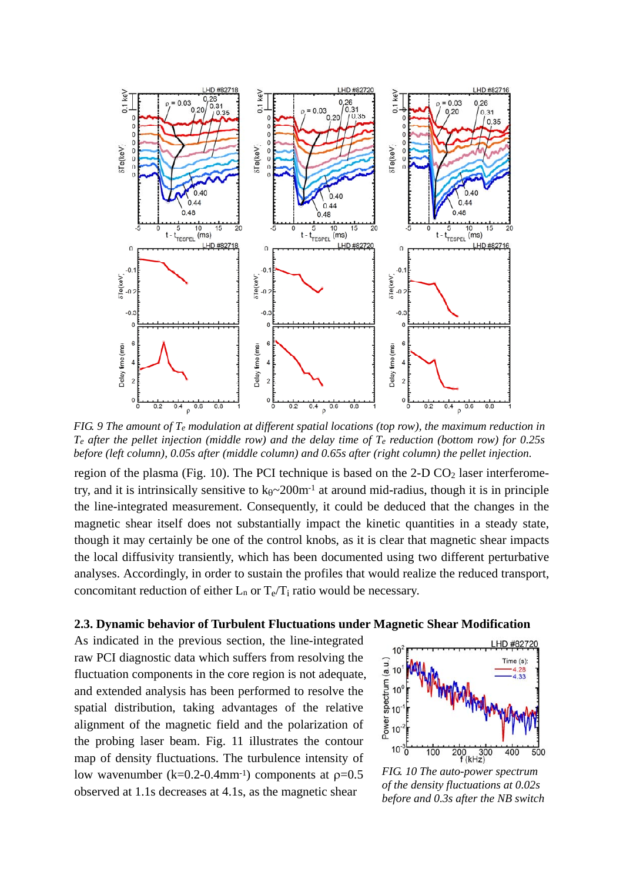

*FIG. 9 The amount of Te modulation at different spatial locations (top row), the maximum reduction in Te after the pellet injection (middle row) and the delay time of Te reduction (bottom row) for 0.25s before (left column), 0.05s after (middle column) and 0.65s after (right column) the pellet injection.* 

region of the plasma (Fig. 10). The PCI technique is based on the  $2-D\text{ CO}_2$  laser interferometry, and it is intrinsically sensitive to  $k_{\theta} \sim 200$  m<sup>-1</sup> at around mid-radius, though it is in principle the line-integrated measurement. Consequently, it could be deduced that the changes in the magnetic shear itself does not substantially impact the kinetic quantities in a steady state, though it may certainly be one of the control knobs, as it is clear that magnetic shear impacts the local diffusivity transiently, which has been documented using two different perturbative analyses. Accordingly, in order to sustain the profiles that would realize the reduced transport, concomitant reduction of either  $L_n$  or  $T_e/T_i$  ratio would be necessary.

### **2.3. Dynamic behavior of Turbulent Fluctuations under Magnetic Shear Modification**

As indicated in the previous section, the line-integrated raw PCI diagnostic data which suffers from resolving the fluctuation components in the core region is not adequate, and extended analysis has been performed to resolve the spatial distribution, taking advantages of the relative alignment of the magnetic field and the polarization of the probing laser beam. Fig. 11 illustrates the contour map of density fluctuations. The turbulence intensity of low wavenumber (k=0.2-0.4mm<sup>-1</sup>) components at  $p=0.5$ observed at 1.1s decreases at 4.1s, as the magnetic shear



*FIG. 10 The auto-power spectrum of the density fluctuations at 0.02s before and 0.3s after the NB switch*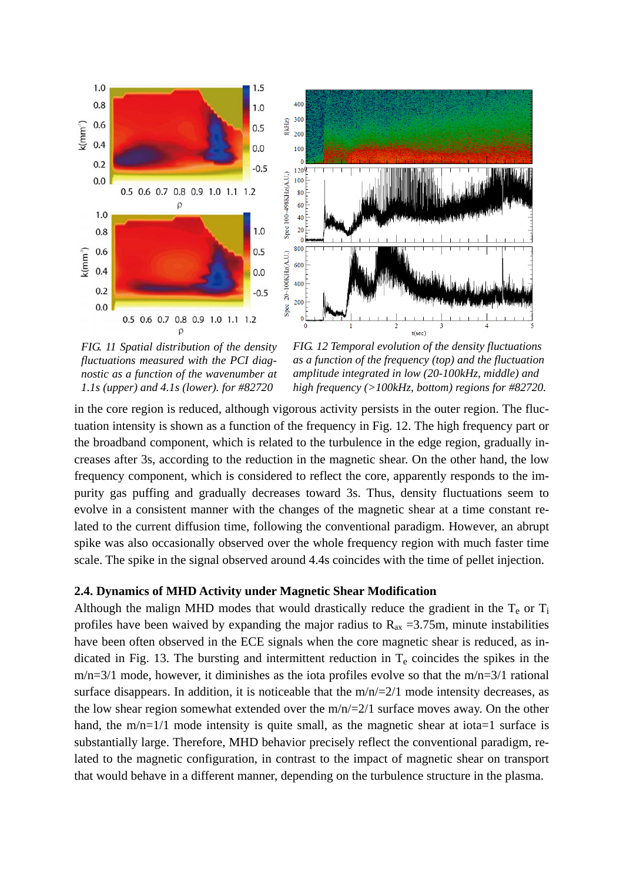



*FIG. 11 Spatial distribution of the density fluctuations measured with the PCI diagnostic as a function of the wavenumber at 1.1s (upper) and 4.1s (lower). for #82720* 

*FIG. 12 Temporal evolution of the density fluctuations as a function of the frequency (top) and the fluctuation amplitude integrated in low (20-100kHz, middle) and high frequency (>100kHz, bottom) regions for #82720.*

in the core region is reduced, although vigorous activity persists in the outer region. The fluctuation intensity is shown as a function of the frequency in Fig. 12. The high frequency part or the broadband component, which is related to the turbulence in the edge region, gradually increases after 3s, according to the reduction in the magnetic shear. On the other hand, the low frequency component, which is considered to reflect the core, apparently responds to the impurity gas puffing and gradually decreases toward 3s. Thus, density fluctuations seem to evolve in a consistent manner with the changes of the magnetic shear at a time constant related to the current diffusion time, following the conventional paradigm. However, an abrupt spike was also occasionally observed over the whole frequency region with much faster time scale. The spike in the signal observed around 4.4s coincides with the time of pellet injection.

# **2.4. Dynamics of MHD Activity under Magnetic Shear Modification**

Although the malign MHD modes that would drastically reduce the gradient in the  $T_e$  or  $T_i$ profiles have been waived by expanding the major radius to  $R_{ax} = 3.75$ m, minute instabilities have been often observed in the ECE signals when the core magnetic shear is reduced, as indicated in Fig. 13. The bursting and intermittent reduction in  $T<sub>e</sub>$  coincides the spikes in the  $m/n=3/1$  mode, however, it diminishes as the iota profiles evolve so that the  $m/n=3/1$  rational surface disappears. In addition, it is noticeable that the  $m/n/=2/1$  mode intensity decreases, as the low shear region somewhat extended over the  $m/n/2/1$  surface moves away. On the other hand, the  $m/n=1/1$  mode intensity is quite small, as the magnetic shear at iota=1 surface is substantially large. Therefore, MHD behavior precisely reflect the conventional paradigm, related to the magnetic configuration, in contrast to the impact of magnetic shear on transport that would behave in a different manner, depending on the turbulence structure in the plasma.